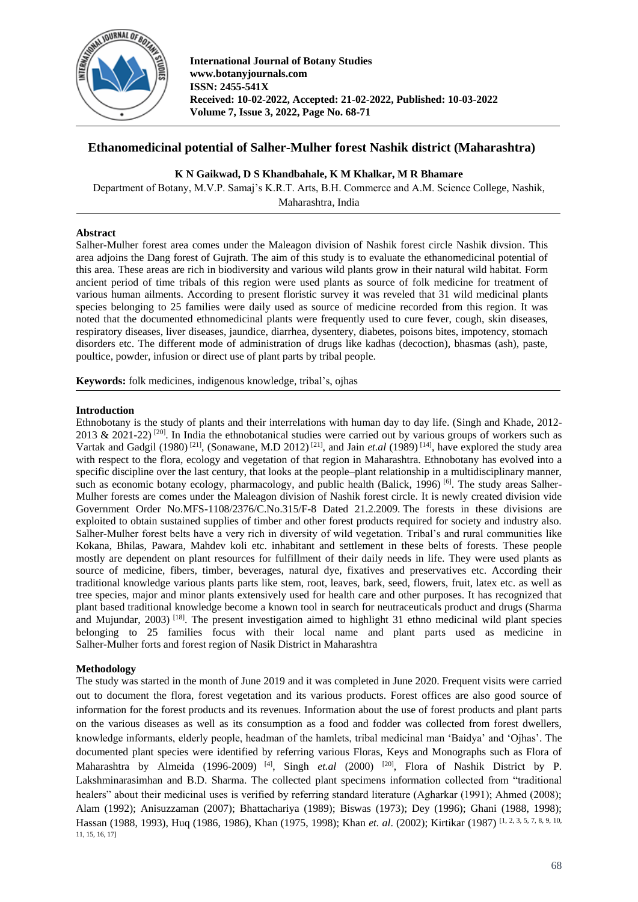

# **Ethanomedicinal potential of Salher-Mulher forest Nashik district (Maharashtra)**

## **K N Gaikwad, D S Khandbahale, K M Khalkar, M R Bhamare**

Department of Botany, M.V.P. Samaj's K.R.T. Arts, B.H. Commerce and A.M. Science College, Nashik, Maharashtra, India

### **Abstract**

Salher-Mulher forest area comes under the Maleagon division of Nashik forest circle Nashik divsion. This area adjoins the Dang forest of Gujrath. The aim of this study is to evaluate the ethanomedicinal potential of this area. These areas are rich in biodiversity and various wild plants grow in their natural wild habitat. Form ancient period of time tribals of this region were used plants as source of folk medicine for treatment of various human ailments. According to present floristic survey it was reveled that 31 wild medicinal plants species belonging to 25 families were daily used as source of medicine recorded from this region. It was noted that the documented ethnomedicinal plants were frequently used to cure fever, cough, skin diseases, respiratory diseases, liver diseases, jaundice, diarrhea, dysentery, diabetes, poisons bites, impotency, stomach disorders etc. The different mode of administration of drugs like kadhas (decoction), bhasmas (ash), paste, poultice, powder, infusion or direct use of plant parts by tribal people.

**Keywords:** folk medicines, indigenous knowledge, tribal's, ojhas

### **Introduction**

Ethnobotany is the study of plants and their interrelations with human day to day life. (Singh and Khade, 2012- 2013 & 2021-22)<sup>[20]</sup>. In India the ethnobotanical studies were carried out by various groups of workers such as Vartak and Gadgil (1980)<sup>[21]</sup>, (Sonawane, M.D 2012)<sup>[21]</sup>, and Jain *et.al* (1989)<sup>[14]</sup>, have explored the study area with respect to the flora, ecology and vegetation of that region in Maharashtra. Ethnobotany has evolved into a specific discipline over the last century, that looks at the people–plant relationship in a multidisciplinary manner, such as economic botany ecology, pharmacology, and public health (Balick, 1996) <sup>[6]</sup>. The study areas Salher-Mulher forests are comes under the Maleagon division of Nashik forest circle. It is newly created division vide Government Order No.MFS-1108/2376/C.No.315/F-8 Dated 21.2.2009. The forests in these divisions are exploited to obtain sustained supplies of timber and other forest products required for society and industry also. Salher-Mulher forest belts have a very rich in diversity of wild vegetation. Tribal's and rural communities like Kokana, Bhilas, Pawara, Mahdev koli etc. inhabitant and settlement in these belts of forests. These people mostly are dependent on plant resources for fulfillment of their daily needs in life. They were used plants as source of medicine, fibers, timber, beverages, natural dye, fixatives and preservatives etc. According their traditional knowledge various plants parts like stem, root, leaves, bark, seed, flowers, fruit, latex etc. as well as tree species, major and minor plants extensively used for health care and other purposes. It has recognized that plant based traditional knowledge become a known tool in search for neutraceuticals product and drugs (Sharma and Mujundar, 2003)  $^{[18]}$ . The present investigation aimed to highlight 31 ethno medicinal wild plant species belonging to 25 families focus with their local name and plant parts used as medicine in Salher-Mulher forts and forest region of Nasik District in Maharashtra

# **Methodology**

The study was started in the month of June 2019 and it was completed in June 2020. Frequent visits were carried out to document the flora, forest vegetation and its various products. Forest offices are also good source of information for the forest products and its revenues. Information about the use of forest products and plant parts on the various diseases as well as its consumption as a food and fodder was collected from forest dwellers, knowledge informants, elderly people, headman of the hamlets, tribal medicinal man 'Baidya' and 'Ojhas'. The documented plant species were identified by referring various Floras, Keys and Monographs such as Flora of Maharashtra by Almeida (1996-2009)<sup>[4]</sup>, Singh *et.al* (2000)<sup>[20]</sup>, Flora of Nashik District by P. Lakshminarasimhan and B.D. Sharma. The collected plant specimens information collected from "traditional healers" about their medicinal uses is verified by referring standard literature (Agharkar (1991); Ahmed (2008); Alam (1992); Anisuzzaman (2007); Bhattachariya (1989); Biswas (1973); Dey (1996); Ghani (1988, 1998); Hassan (1988, 1993), Huq (1986, 1986), Khan (1975, 1998); Khan *et. al*. (2002); Kirtikar (1987) [1, 2, 3, 5, 7, 8, 9, 10, 11, 15, 16, 17]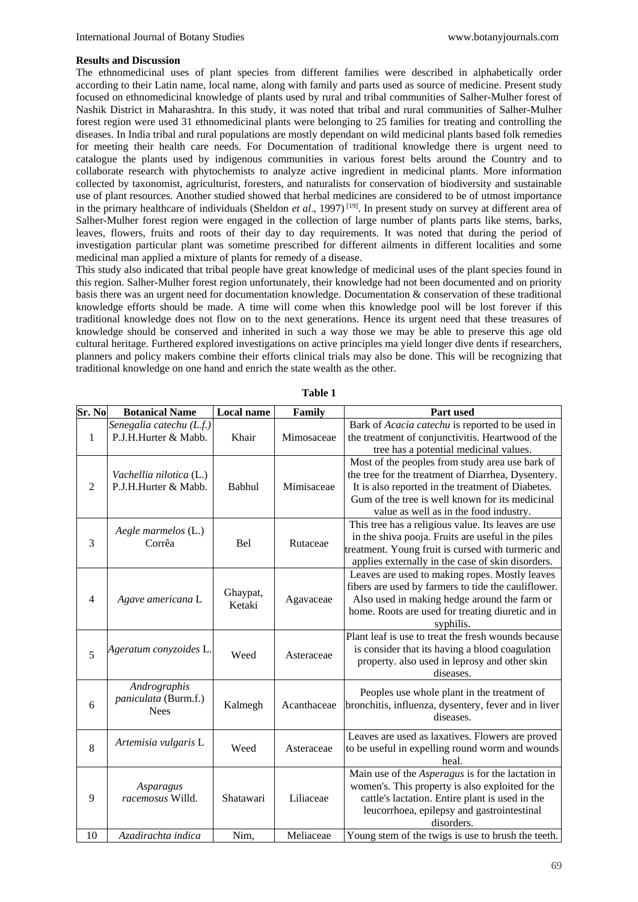#### **Results and Discussion**

The ethnomedicinal uses of plant species from different families were described in alphabetically order according to their Latin name, local name, along with family and parts used as source of medicine. Present study focused on ethnomedicinal knowledge of plants used by rural and tribal communities of Salher-Mulher forest of Nashik District in Maharashtra. In this study, it was noted that tribal and rural communities of Salher-Mulher forest region were used 31 ethnomedicinal plants were belonging to 25 families for treating and controlling the diseases. In India tribal and rural populations are mostly dependant on wild medicinal plants based folk remedies for meeting their health care needs. For Documentation of traditional knowledge there is urgent need to catalogue the plants used by indigenous communities in various forest belts around the Country and to collaborate research with phytochemists to analyze active ingredient in medicinal plants. More information collected by taxonomist, agriculturist, foresters, and naturalists for conservation of biodiversity and sustainable use of plant resources. Another studied showed that herbal medicines are considered to be of utmost importance in the primary healthcare of individuals (Sheldon *et al*., 1997) [19] . In present study on survey at different area of Salher-Mulher forest region were engaged in the collection of large number of plants parts like stems, barks, leaves, flowers, fruits and roots of their day to day requirements. It was noted that during the period of investigation particular plant was sometime prescribed for different ailments in different localities and some medicinal man applied a mixture of plants for remedy of a disease.

This study also indicated that tribal people have great knowledge of medicinal uses of the plant species found in this region. Salher-Mulher forest region unfortunately, their knowledge had not been documented and on priority basis there was an urgent need for documentation knowledge. Documentation & conservation of these traditional knowledge efforts should be made. A time will come when this knowledge pool will be lost forever if this traditional knowledge does not flow on to the next generations. Hence its urgent need that these treasures of knowledge should be conserved and inherited in such a way those we may be able to preserve this age old cultural heritage. Furthered explored investigations on active principles ma yield longer dive dents if researchers, planners and policy makers combine their efforts clinical trials may also be done. This will be recognizing that traditional knowledge on one hand and enrich the state wealth as the other.

| Sr. No         | <b>Botanical Name</b>                               | <b>Local name</b>  | Family      | Part used                                                                                                                                                                                                                                               |
|----------------|-----------------------------------------------------|--------------------|-------------|---------------------------------------------------------------------------------------------------------------------------------------------------------------------------------------------------------------------------------------------------------|
| $\mathbf{1}$   | Senegalia catechu (L.f.)<br>P.J.H.Hurter & Mabb.    | Khair              | Mimosaceae  | Bark of Acacia catechu is reported to be used in<br>the treatment of conjunctivitis. Heartwood of the<br>tree has a potential medicinal values.                                                                                                         |
| 2              | Vachellia nilotica (L.)<br>P.J.H.Hurter & Mabb.     | Babhul             | Mimisaceae  | Most of the peoples from study area use bark of<br>the tree for the treatment of Diarrhea, Dysentery.<br>It is also reported in the treatment of Diabetes.<br>Gum of the tree is well known for its medicinal<br>value as well as in the food industry. |
| 3              | Aegle marmelos (L.)<br>Corrêa                       | <b>Bel</b>         | Rutaceae    | This tree has a religious value. Its leaves are use<br>in the shiva pooja. Fruits are useful in the piles<br>treatment. Young fruit is cursed with turmeric and<br>applies externally in the case of skin disorders.                                    |
| $\overline{4}$ | Agave americana L                                   | Ghaypat,<br>Ketaki | Agavaceae   | Leaves are used to making ropes. Mostly leaves<br>fibers are used by farmers to tide the cauliflower.<br>Also used in making hedge around the farm or<br>home. Roots are used for treating diuretic and in<br>syphilis.                                 |
| 5              | Ageratum conyzoides L.                              | Weed               | Asteraceae  | Plant leaf is use to treat the fresh wounds because<br>is consider that its having a blood coagulation<br>property. also used in leprosy and other skin<br>diseases.                                                                                    |
| 6              | Andrographis<br>paniculata (Burm.f.)<br><b>Nees</b> | Kalmegh            | Acanthaceae | Peoples use whole plant in the treatment of<br>bronchitis, influenza, dysentery, fever and in liver<br>diseases.                                                                                                                                        |
| 8              | Artemisia vulgaris L                                | Weed               | Asteraceae  | Leaves are used as laxatives. Flowers are proved<br>to be useful in expelling round worm and wounds<br>heal.                                                                                                                                            |
| 9              | Asparagus<br>racemosus Willd.                       | Shatawari          | Liliaceae   | Main use of the <i>Asperagus</i> is for the lactation in<br>women's. This property is also exploited for the<br>cattle's lactation. Entire plant is used in the<br>leucorrhoea, epilepsy and gastrointestinal<br>disorders.                             |
| 10             | Azadirachta indica                                  | Nim,               | Meliaceae   | Young stem of the twigs is use to brush the teeth.                                                                                                                                                                                                      |

**Table 1**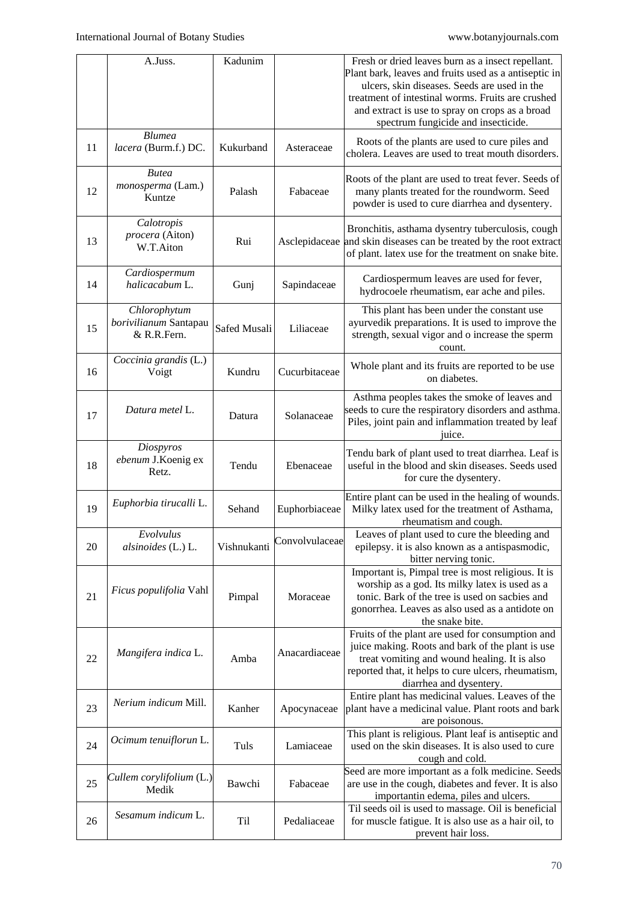|    | A.Juss.                                              | Kadunim      |                | Fresh or dried leaves burn as a insect repellant.<br>Plant bark, leaves and fruits used as a antiseptic in<br>ulcers, skin diseases. Seeds are used in the<br>treatment of intestinal worms. Fruits are crushed<br>and extract is use to spray on crops as a broad<br>spectrum fungicide and insecticide. |
|----|------------------------------------------------------|--------------|----------------|-----------------------------------------------------------------------------------------------------------------------------------------------------------------------------------------------------------------------------------------------------------------------------------------------------------|
| 11 | <b>Blumea</b><br>lacera (Burm.f.) DC.                | Kukurband    | Asteraceae     | Roots of the plants are used to cure piles and<br>cholera. Leaves are used to treat mouth disorders.                                                                                                                                                                                                      |
| 12 | <b>Butea</b><br>monosperma (Lam.)<br>Kuntze          | Palash       | Fabaceae       | Roots of the plant are used to treat fever. Seeds of<br>many plants treated for the roundworm. Seed<br>powder is used to cure diarrhea and dysentery.                                                                                                                                                     |
| 13 | Calotropis<br>procera (Aiton)<br>W.T.Aiton           | Rui          |                | Bronchitis, asthama dysentry tuberculosis, cough<br>Asclepidaceae and skin diseases can be treated by the root extract<br>of plant. latex use for the treatment on snake bite.                                                                                                                            |
| 14 | Cardiospermum<br>halicacabum L.                      | Gunj         | Sapindaceae    | Cardiospermum leaves are used for fever,<br>hydrocoele rheumatism, ear ache and piles.                                                                                                                                                                                                                    |
| 15 | Chlorophytum<br>borivilianum Santapau<br>& R.R.Fern. | Safed Musali | Liliaceae      | This plant has been under the constant use<br>ayurvedik preparations. It is used to improve the<br>strength, sexual vigor and o increase the sperm<br>count.                                                                                                                                              |
| 16 | Coccinia grandis (L.)<br>Voigt                       | Kundru       | Cucurbitaceae  | Whole plant and its fruits are reported to be use<br>on diabetes.                                                                                                                                                                                                                                         |
| 17 | Datura metel L.                                      | Datura       | Solanaceae     | Asthma peoples takes the smoke of leaves and<br>seeds to cure the respiratory disorders and asthma.<br>Piles, joint pain and inflammation treated by leaf<br>juice.                                                                                                                                       |
| 18 | Diospyros<br>ebenum J.Koenig ex<br>Retz.             | Tendu        | Ebenaceae      | Tendu bark of plant used to treat diarrhea. Leaf is<br>useful in the blood and skin diseases. Seeds used<br>for cure the dysentery.                                                                                                                                                                       |
| 19 | Euphorbia tirucalli L.                               | Sehand       | Euphorbiaceae  | Entire plant can be used in the healing of wounds.<br>Milky latex used for the treatment of Asthama,<br>rheumatism and cough.                                                                                                                                                                             |
| 20 | Evolvulus<br>alsinoides (L.) L.                      | Vishnukanti  | Convolvulaceae | Leaves of plant used to cure the bleeding and<br>epilepsy. it is also known as a antispasmodic,<br>bitter nerving tonic.                                                                                                                                                                                  |
| 21 | Ficus populifolia Vahl                               | Pimpal       | Moraceae       | Important is, Pimpal tree is most religious. It is<br>worship as a god. Its milky latex is used as a<br>tonic. Bark of the tree is used on sacbies and<br>gonorrhea. Leaves as also used as a antidote on<br>the snake bite.                                                                              |
| 22 | Mangifera indica L.                                  | Amba         | Anacardiaceae  | Fruits of the plant are used for consumption and<br>juice making. Roots and bark of the plant is use<br>treat vomiting and wound healing. It is also<br>reported that, it helps to cure ulcers, rheumatism,<br>diarrhea and dysentery.                                                                    |
| 23 | Nerium indicum Mill.                                 | Kanher       | Apocynaceae    | Entire plant has medicinal values. Leaves of the<br>plant have a medicinal value. Plant roots and bark<br>are poisonous.                                                                                                                                                                                  |
| 24 | Ocimum tenuiflorun L.                                | Tuls         | Lamiaceae      | This plant is religious. Plant leaf is antiseptic and<br>used on the skin diseases. It is also used to cure<br>cough and cold.                                                                                                                                                                            |
| 25 | Cullem corylifolium (L.)<br>Medik                    | Bawchi       | Fabaceae       | Seed are more important as a folk medicine. Seeds<br>are use in the cough, diabetes and fever. It is also<br>importantin edema, piles and ulcers.                                                                                                                                                         |
| 26 | Sesamum indicum L.                                   | Til          | Pedaliaceae    | Til seeds oil is used to massage. Oil is beneficial<br>for muscle fatigue. It is also use as a hair oil, to<br>prevent hair loss.                                                                                                                                                                         |